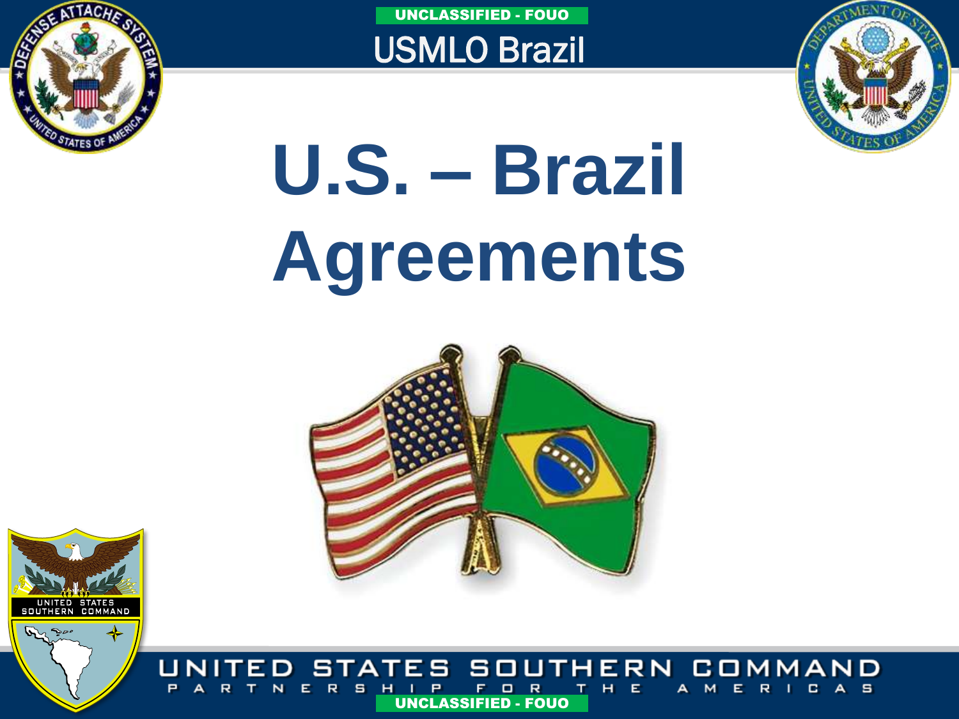

UNITED STATES<br>SOUTHERN COMMAND

UNCLASSIFIED - FOUO

USMLO Brazil



# **U.S. – Brazil Agreements**



STATES SOUTHERN COM MAND s UNCLASSIFIED - FOUO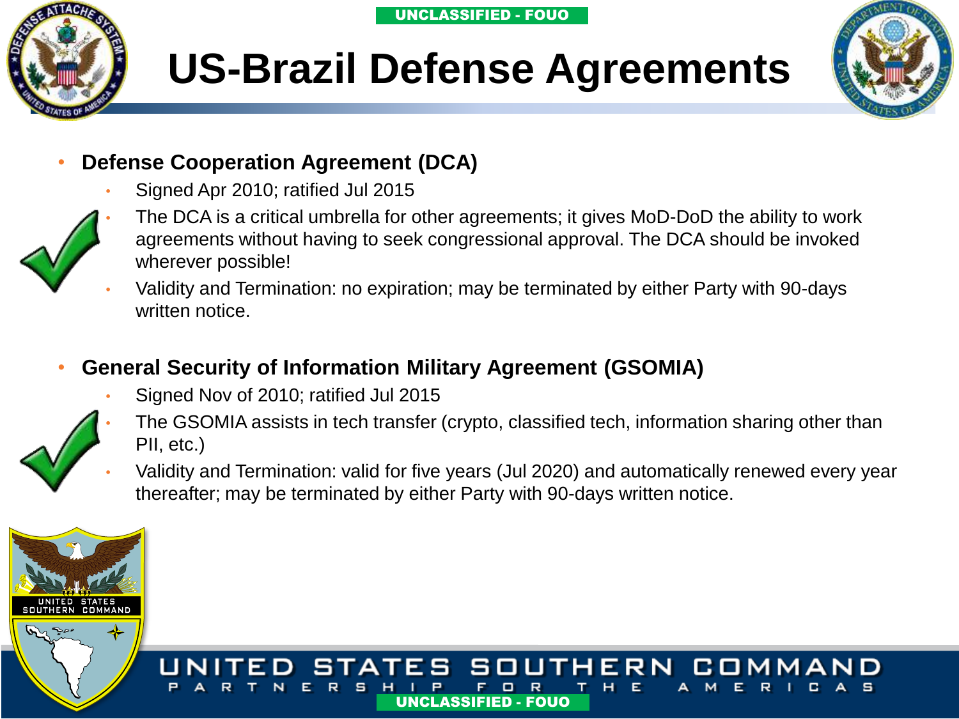

### **US-Brazil Defense Agreements**



#### • **Defense Cooperation Agreement (DCA)**

Signed Apr 2010; ratified Jul 2015



- The DCA is a critical umbrella for other agreements; it gives MoD-DoD the ability to work agreements without having to seek congressional approval. The DCA should be invoked wherever possible!
- Validity and Termination: no expiration; may be terminated by either Party with 90-days written notice.

### • **General Security of Information Military Agreement (GSOMIA)**

- Signed Nov of 2010; ratified Jul 2015
- The GSOMIA assists in tech transfer (crypto, classified tech, information sharing other than PII, etc.)
- Validity and Termination: valid for five years (Jul 2020) and automatically renewed every year thereafter; may be terminated by either Party with 90-days written notice.

UNCLASSIFIED - FOUO UNCLASSIFIED - FOUO

SOUTH

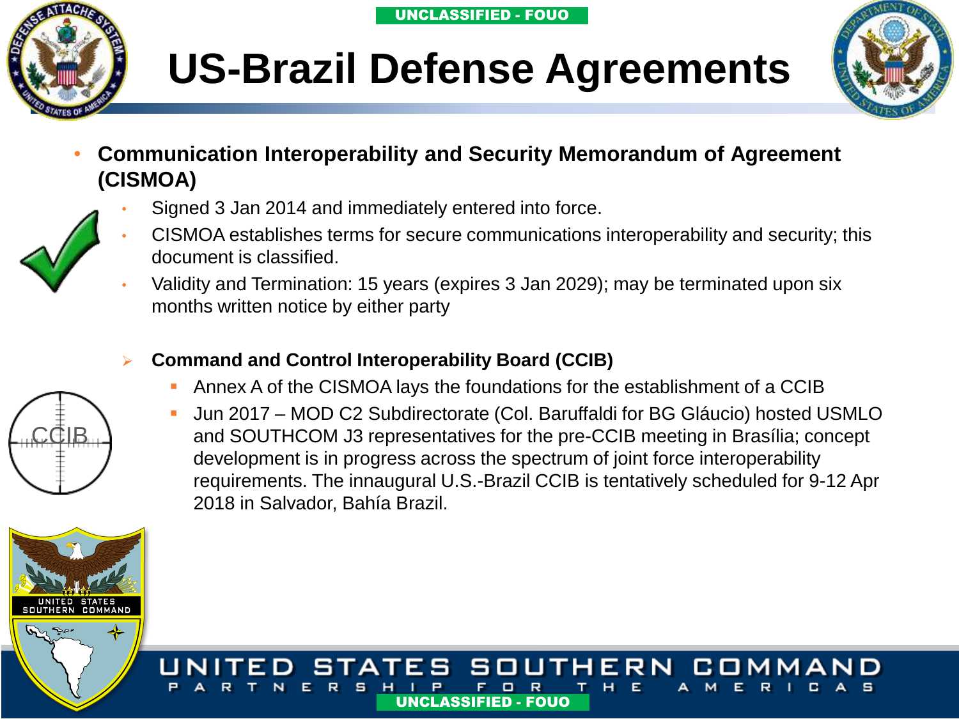





• **Communication Interoperability and Security Memorandum of Agreement (CISMOA)**



- Signed 3 Jan 2014 and immediately entered into force. • CISMOA establishes terms for secure communications interoperability and security; this document is classified.
- Validity and Termination: 15 years (expires 3 Jan 2029); may be terminated upon six months written notice by either party
- **Command and Control Interoperability Board (CCIB)**
	- Annex A of the CISMOA lays the foundations for the establishment of a CCIB
	- Jun 2017 MOD C2 Subdirectorate (Col. Baruffaldi for BG Gláucio) hosted USMLO and SOUTHCOM J3 representatives for the pre-CCIB meeting in Brasília; concept development is in progress across the spectrum of joint force interoperability requirements. The innaugural U.S.-Brazil CCIB is tentatively scheduled for 9-12 Apr 2018 in Salvador, Bahía Brazil.





COMMAND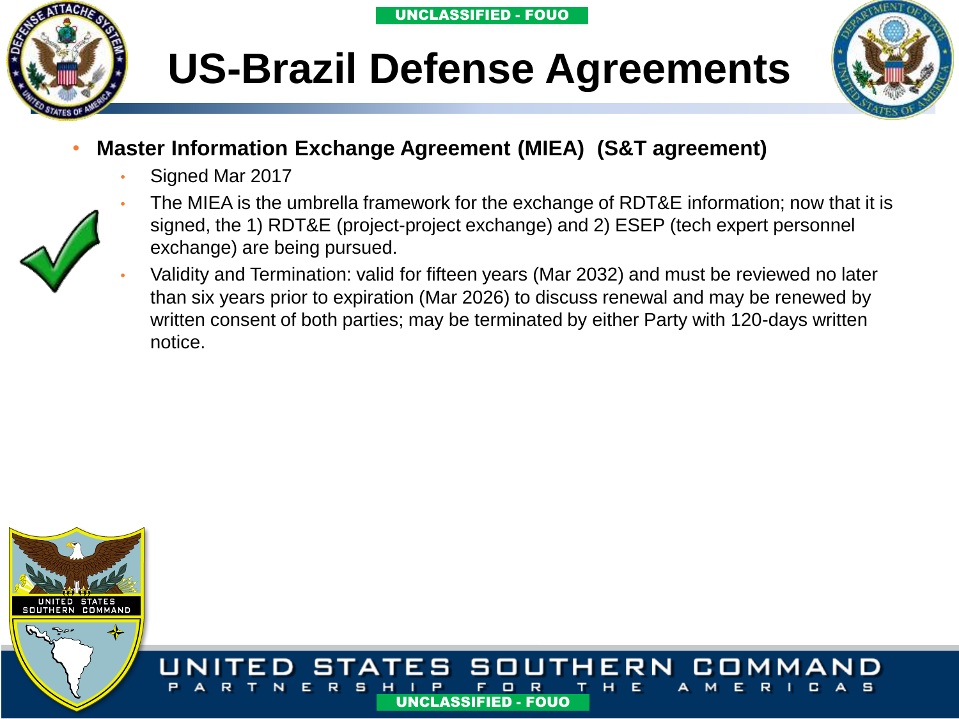



### **US-Brazil Defense Agreements**

- **Master Information Exchange Agreement (MIEA) (S&T agreement)**
	- Signed Mar 2017



- The MIEA is the umbrella framework for the exchange of RDT&E information; now that it is signed, the 1) RDT&E (project-project exchange) and 2) ESEP (tech expert personnel exchange) are being pursued.
- Validity and Termination: valid for fifteen years (Mar 2032) and must be reviewed no later than six years prior to expiration (Mar 2026) to discuss renewal and may be renewed by written consent of both parties; may be terminated by either Party with 120-days written notice.

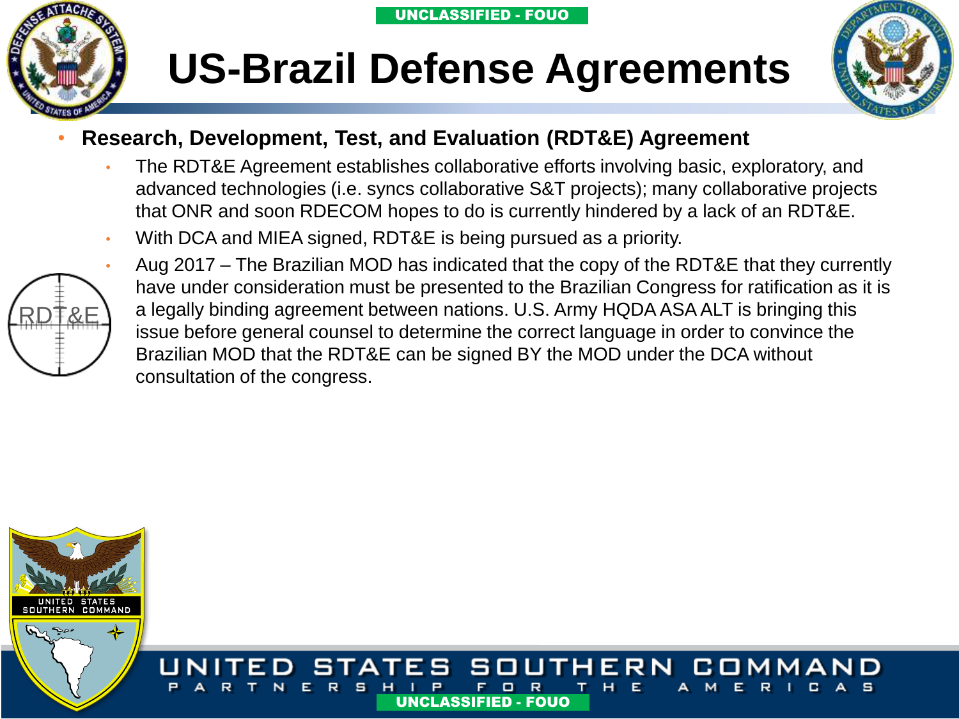

### **US-Brazil Defense Agreements**



#### • **Research, Development, Test, and Evaluation (RDT&E) Agreement**

- The RDT&E Agreement establishes collaborative efforts involving basic, exploratory, and advanced technologies (i.e. syncs collaborative S&T projects); many collaborative projects that ONR and soon RDECOM hopes to do is currently hindered by a lack of an RDT&E.
- With DCA and MIEA signed, RDT&E is being pursued as a priority.



• Aug 2017 – The Brazilian MOD has indicated that the copy of the RDT&E that they currently have under consideration must be presented to the Brazilian Congress for ratification as it is a legally binding agreement between nations. U.S. Army HQDA ASA ALT is bringing this issue before general counsel to determine the correct language in order to convince the Brazilian MOD that the RDT&E can be signed BY the MOD under the DCA without consultation of the congress.

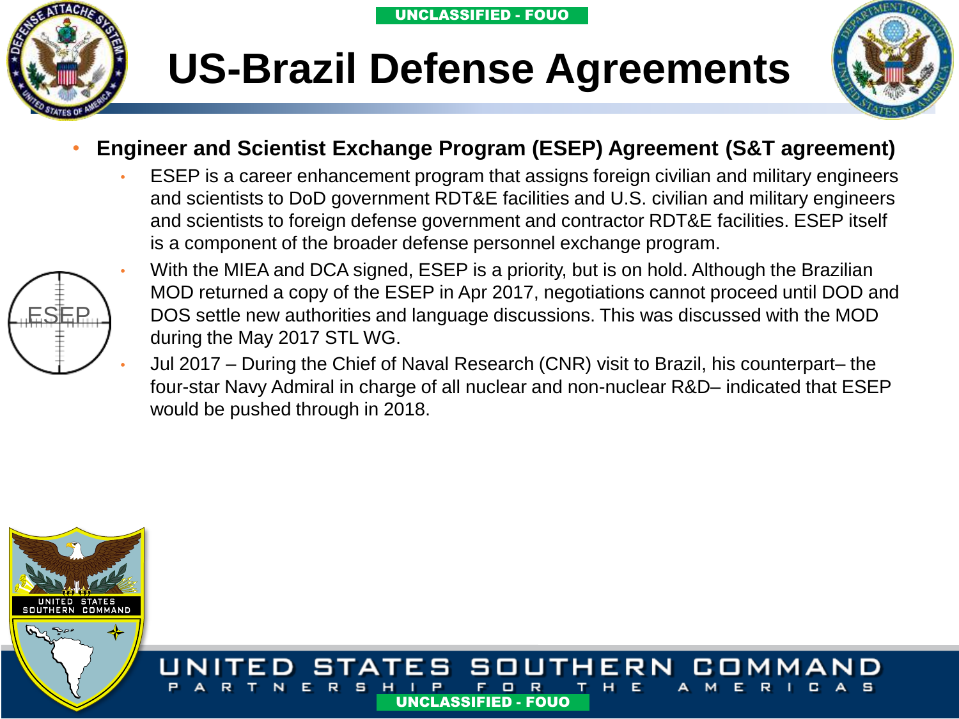





#### • **Engineer and Scientist Exchange Program (ESEP) Agreement (S&T agreement)**

• ESEP is a career enhancement program that assigns foreign civilian and military engineers and scientists to DoD government RDT&E facilities and U.S. civilian and military engineers and scientists to foreign defense government and contractor RDT&E facilities. ESEP itself is a component of the broader defense personnel exchange program.



- With the MIEA and DCA signed, ESEP is a priority, but is on hold. Although the Brazilian MOD returned a copy of the ESEP in Apr 2017, negotiations cannot proceed until DOD and DOS settle new authorities and language discussions. This was discussed with the MOD during the May 2017 STL WG.
- Jul 2017 During the Chief of Naval Research (CNR) visit to Brazil, his counterpart– the four-star Navy Admiral in charge of all nuclear and non-nuclear R&D– indicated that ESEP would be pushed through in 2018.

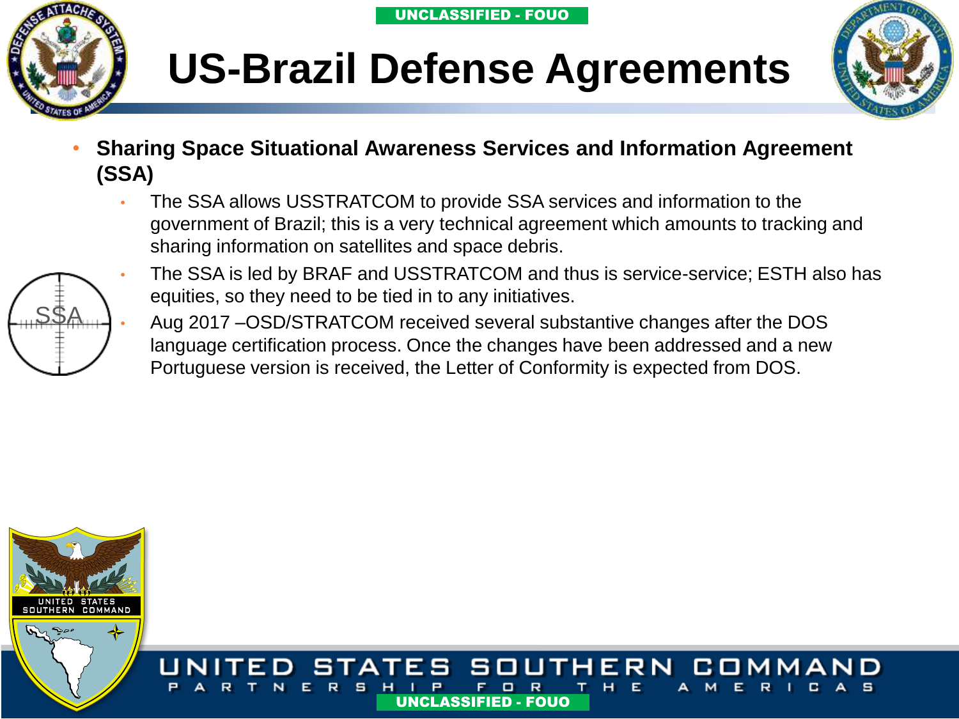



- 
- **Sharing Space Situational Awareness Services and Information Agreement (SSA)**
	- The SSA allows USSTRATCOM to provide SSA services and information to the government of Brazil; this is a very technical agreement which amounts to tracking and sharing information on satellites and space debris.



- The SSA is led by BRAF and USSTRATCOM and thus is service-service; ESTH also has equities, so they need to be tied in to any initiatives.
- Aug 2017 –OSD/STRATCOM received several substantive changes after the DOS language certification process. Once the changes have been addressed and a new Portuguese version is received, the Letter of Conformity is expected from DOS.

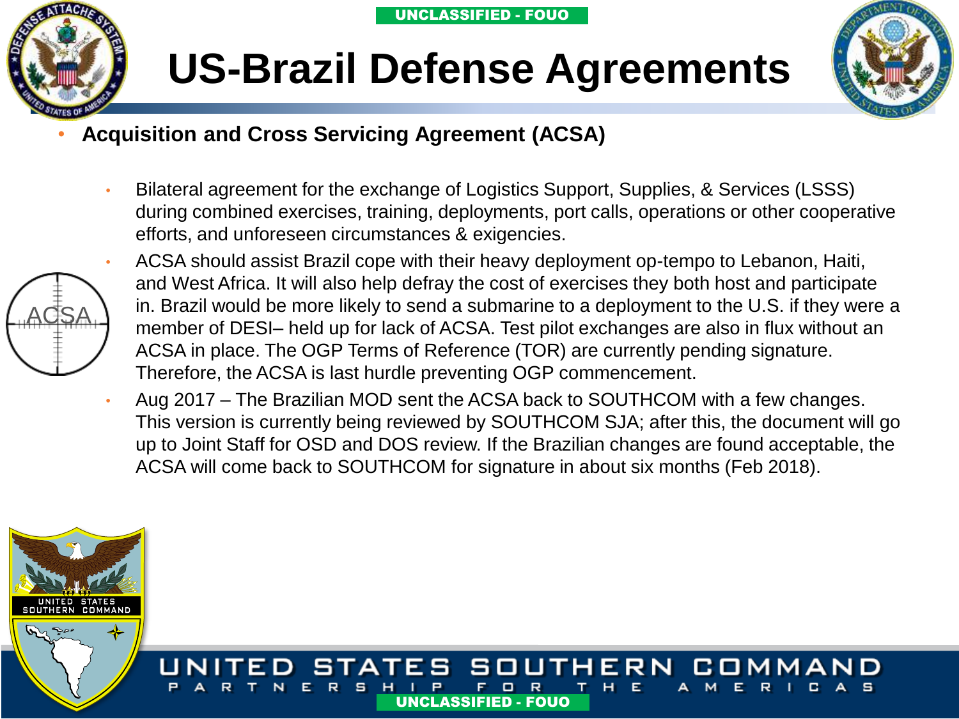



### **US-Brazil Defense Agreements**

- **Acquisition and Cross Servicing Agreement (ACSA)**
	- Bilateral agreement for the exchange of Logistics Support, Supplies, & Services (LSSS) during combined exercises, training, deployments, port calls, operations or other cooperative efforts, and unforeseen circumstances & exigencies.



- ACSA should assist Brazil cope with their heavy deployment op-tempo to Lebanon, Haiti, and West Africa. It will also help defray the cost of exercises they both host and participate in. Brazil would be more likely to send a submarine to a deployment to the U.S. if they were a member of DESI– held up for lack of ACSA. Test pilot exchanges are also in flux without an ACSA in place. The OGP Terms of Reference (TOR) are currently pending signature. Therefore, the ACSA is last hurdle preventing OGP commencement.
- Aug 2017 The Brazilian MOD sent the ACSA back to SOUTHCOM with a few changes. This version is currently being reviewed by SOUTHCOM SJA; after this, the document will go up to Joint Staff for OSD and DOS review. If the Brazilian changes are found acceptable, the ACSA will come back to SOUTHCOM for signature in about six months (Feb 2018).

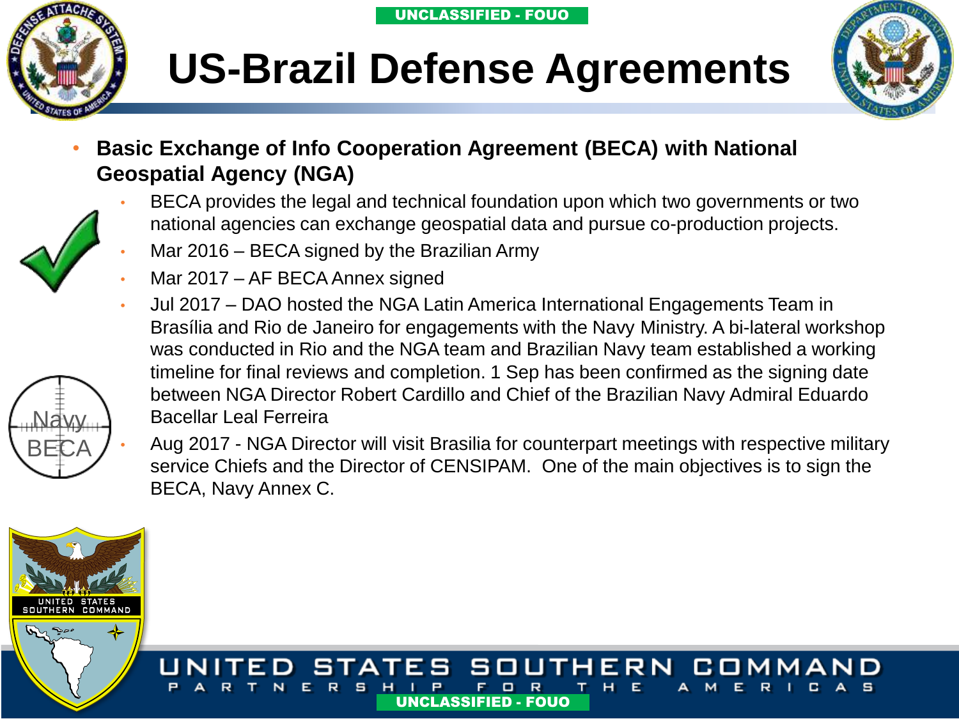





• **Basic Exchange of Info Cooperation Agreement (BECA) with National Geospatial Agency (NGA)**



Navy

BECA

- BECA provides the legal and technical foundation upon which two governments or two national agencies can exchange geospatial data and pursue co-production projects.
- Mar 2016 BECA signed by the Brazilian Army
- Mar 2017 AF BECA Annex signed
- Jul 2017 DAO hosted the NGA Latin America International Engagements Team in Brasília and Rio de Janeiro for engagements with the Navy Ministry. A bi-lateral workshop was conducted in Rio and the NGA team and Brazilian Navy team established a working timeline for final reviews and completion. 1 Sep has been confirmed as the signing date between NGA Director Robert Cardillo and Chief of the Brazilian Navy Admiral Eduardo Bacellar Leal Ferreira

• Aug 2017 - NGA Director will visit Brasilia for counterpart meetings with respective military service Chiefs and the Director of CENSIPAM. One of the main objectives is to sign the BECA, Navy Annex C.

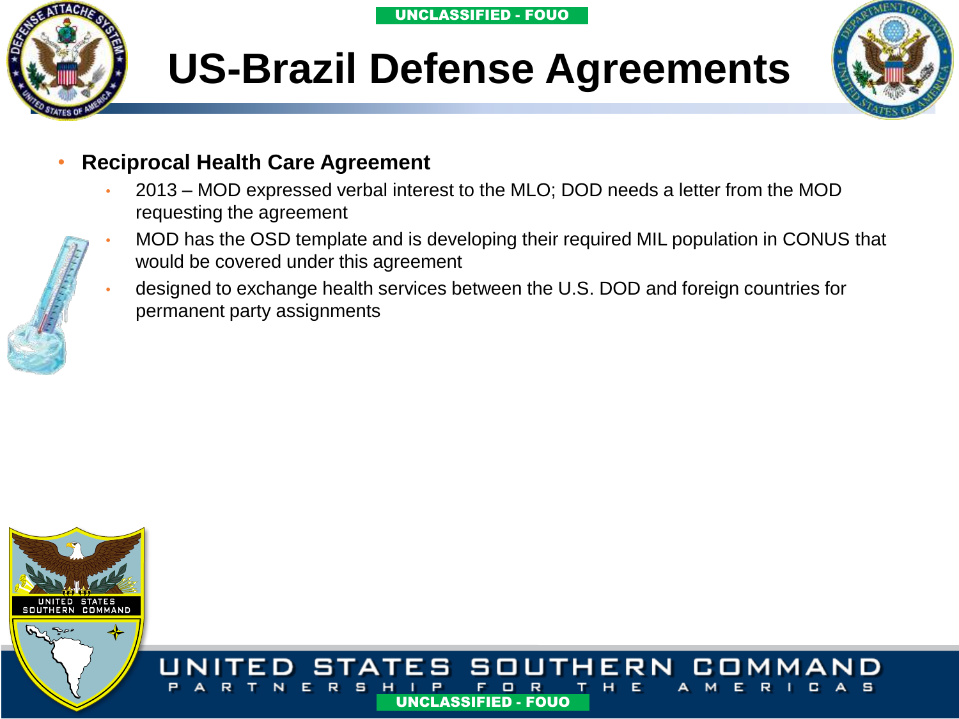

### **US-Brazil Defense Agreements**



#### • **Reciprocal Health Care Agreement**

- 2013 MOD expressed verbal interest to the MLO; DOD needs a letter from the MOD requesting the agreement
- MOD has the OSD template and is developing their required MIL population in CONUS that would be covered under this agreement
- designed to exchange health services between the U.S. DOD and foreign countries for permanent party assignments

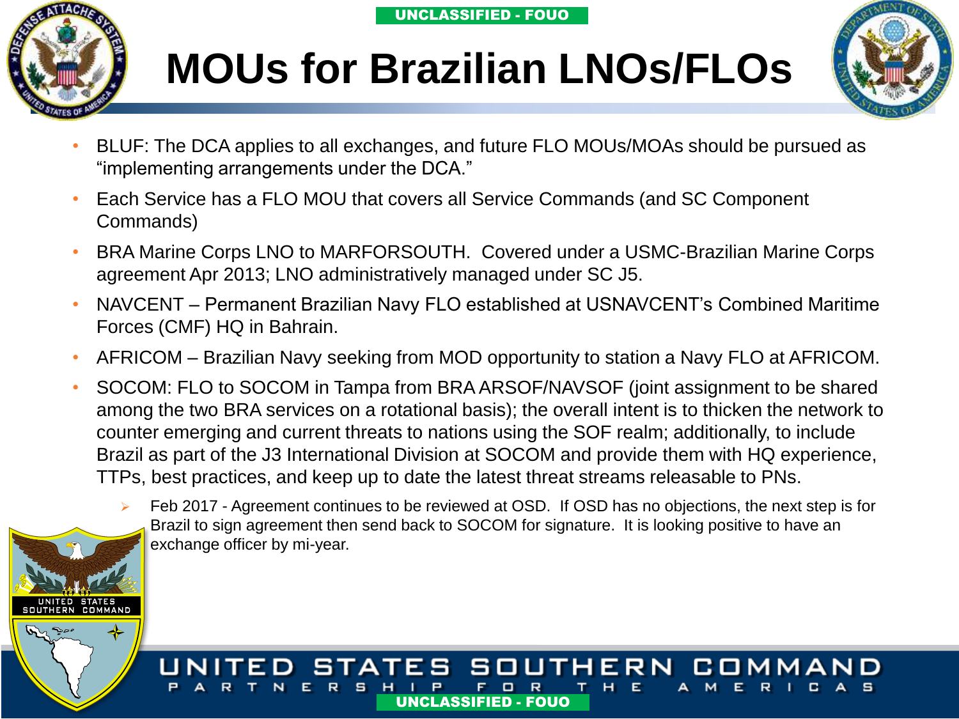

UNITED STATES<br>UTHERN COMMAND

### **MOUs for Brazilian LNOs/FLOs**



- BLUF: The DCA applies to all exchanges, and future FLO MOUs/MOAs should be pursued as "implementing arrangements under the DCA."
- Each Service has a FLO MOU that covers all Service Commands (and SC Component Commands)
- BRA Marine Corps LNO to MARFORSOUTH. Covered under a USMC-Brazilian Marine Corps agreement Apr 2013; LNO administratively managed under SC J5.
- NAVCENT Permanent Brazilian Navy FLO established at USNAVCENT's Combined Maritime Forces (CMF) HQ in Bahrain.
- AFRICOM Brazilian Navy seeking from MOD opportunity to station a Navy FLO at AFRICOM.
- SOCOM: FLO to SOCOM in Tampa from BRA ARSOF/NAVSOF (joint assignment to be shared among the two BRA services on a rotational basis); the overall intent is to thicken the network to counter emerging and current threats to nations using the SOF realm; additionally, to include Brazil as part of the J3 International Division at SOCOM and provide them with HQ experience, TTPs, best practices, and keep up to date the latest threat streams releasable to PNs.



#### STATES SOUTHERN cо UNCLASSIFIED - FOUO UNCLASSIFIED - FOUO